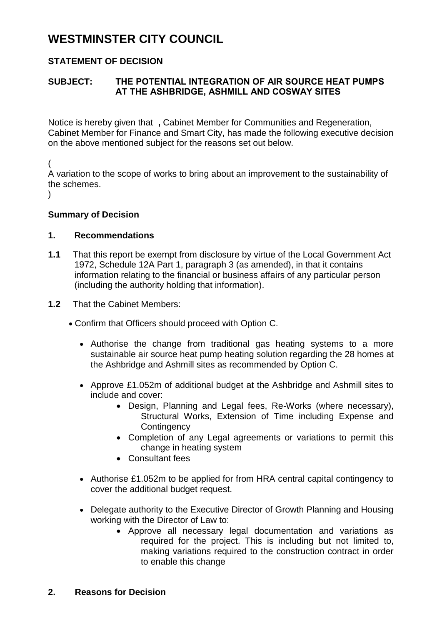# **WESTMINSTER CITY COUNCIL**

## **STATEMENT OF DECISION**

### **SUBJECT: THE POTENTIAL INTEGRATION OF AIR SOURCE HEAT PUMPS AT THE ASHBRIDGE, ASHMILL AND COSWAY SITES**

Notice is hereby given that **,** Cabinet Member for Communities and Regeneration, Cabinet Member for Finance and Smart City, has made the following executive decision on the above mentioned subject for the reasons set out below.

(

A variation to the scope of works to bring about an improvement to the sustainability of the schemes.

 $\lambda$ 

#### **Summary of Decision**

#### **1. Recommendations**

- **1.1** That this report be exempt from disclosure by virtue of the Local Government Act 1972, Schedule 12A Part 1, paragraph 3 (as amended), in that it contains information relating to the financial or business affairs of any particular person (including the authority holding that information).
- **1.2** That the Cabinet Members:
	- Confirm that Officers should proceed with Option C.
		- Authorise the change from traditional gas heating systems to a more sustainable air source heat pump heating solution regarding the 28 homes at the Ashbridge and Ashmill sites as recommended by Option C.
		- Approve £1.052m of additional budget at the Ashbridge and Ashmill sites to include and cover:
			- Design, Planning and Legal fees, Re-Works (where necessary), Structural Works, Extension of Time including Expense and **Contingency**
			- Completion of any Legal agreements or variations to permit this change in heating system
			- Consultant fees
		- Authorise £1.052m to be applied for from HRA central capital contingency to cover the additional budget request.
		- Delegate authority to the Executive Director of Growth Planning and Housing working with the Director of Law to:
			- Approve all necessary legal documentation and variations as required for the project. This is including but not limited to, making variations required to the construction contract in order to enable this change